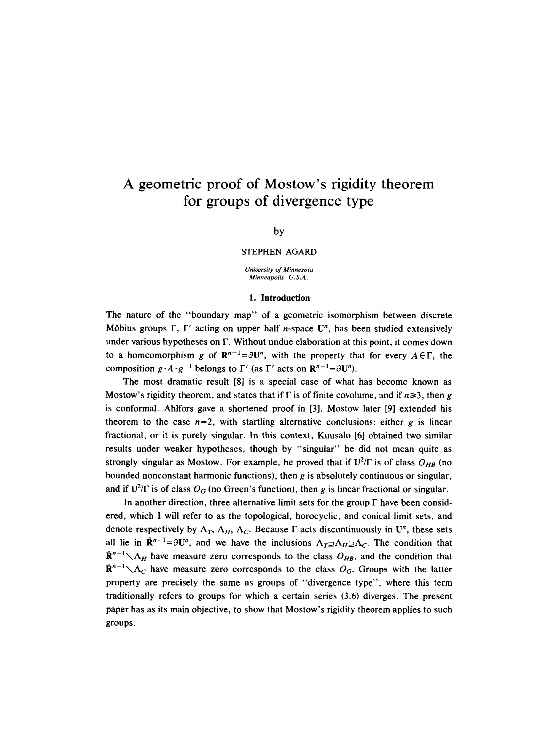# A geometric proof of Mostow's rigidity theorem **for groups of divergence type**

## by

#### STEPHEN AGARD

*University of Minnesota Minneapolis, U.S.A.* 

# **1. Introduction**

The nature of the "boundary map" of a geometric isomorphism between discrete Möbius groups  $\Gamma$ ,  $\Gamma'$  acting on upper half *n*-space  $\mathbf{U}^n$ , has been studied extensively under various hypotheses on F. Without undue elaboration at this point, it comes down to a homeomorphism g of  $\mathbb{R}^{n-1} = \partial U^n$ , with the property that for every  $A \in \Gamma$ , the composition  $g \cdot A \cdot g^{-1}$  belongs to  $\Gamma'$  (as  $\Gamma'$  acts on  $\mathbb{R}^{n-1} = \partial U^n$ ).

The most dramatic result [8] is a special case of what has become known as Mostow's rigidity theorem, and states that if  $\Gamma$  is of finite covolume, and if  $n \ge 3$ , then g is conformal. Ahlfors gave a shortened proof in [3]. Mostow later [9] extended his theorem to the case  $n=2$ , with startling alternative conclusions: either  $g$  is linear fractional, or it is purely singular. In this context, Kuusalo [6] obtained two similar results under weaker hypotheses, though by "singular" he did not mean quite as strongly singular as Mostow. For example, he proved that if  $U^2/\Gamma$  is of class  $O_{HB}$  (no bounded nonconstant harmonic functions), then g is absolutely continuous or singular, and if  $U^2/\Gamma$  is of class  $O_G$  (no Green's function), then g is linear fractional or singular.

In another direction, three alternative limit sets for the group  $\Gamma$  have been considered, which I will refer to as the topological, horocyclic, and conical limit sets, and denote respectively by  $\Lambda_T$ ,  $\Lambda_H$ ,  $\Lambda_C$ . Because  $\Gamma$  acts discontinuously in U<sup>n</sup>, these sets all lie in  $\mathbf{R}^{n-1} = \partial U^n$ , and we have the inclusions  $\Lambda_T \supseteq \Lambda_H \supseteq \Lambda_C$ . The condition that  $\mathbf{R}^{n-1}\diagdown \mathbf{\Lambda}_{H}$  have measure zero corresponds to the class  $O_{HB}$ , and the condition that  $\mathbf{R}^{n-1}\setminus\Lambda_C$  have measure zero corresponds to the class  $O_G$ . Groups with the latter property are precisely the same as groups of "divergence type", where this term traditionally refers to groups for which a certain series (3.6) diverges. The present paper has as its main objective, to show that Mostow's rigidity theorem applies to such groups.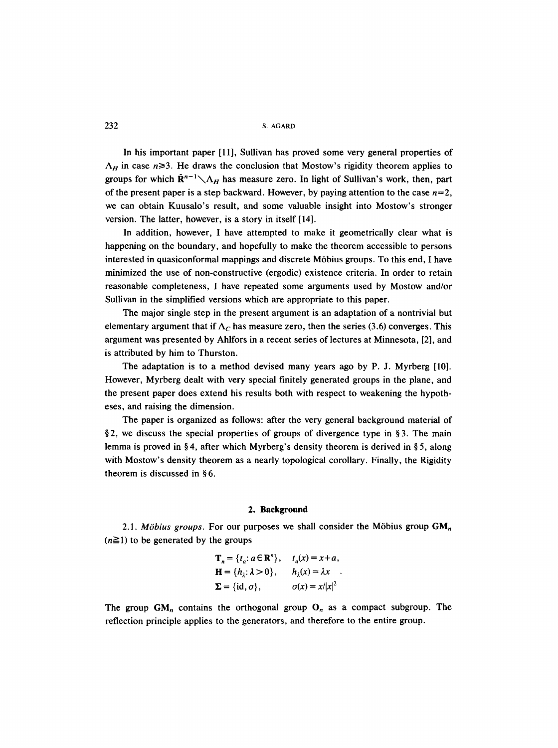In his important paper [11], Sullivan has proved some very general properties of  $\Lambda_H$  in case  $n \geq 3$ . He draws the conclusion that Mostow's rigidity theorem applies to groups for which  $\mathbf{R}^{n-1}\setminus \Lambda_H$  has measure zero. In light of Sullivan's work, then, part of the present paper is a step backward. However, by paying attention to the case  $n=2$ , we can obtain Kuusalo's result, and some valuable insight into Mostow's stronger version. The latter, however, is a story in itself [14].

In addition, however, I have attempted to make it geometrically clear what is happening on the boundary, and hopefully to make the theorem accessible to persons interested in quasiconformal mappings and discrete Möbius groups. To this end, I have minimized the use of non-constructive (ergodic) existence criteria. In order to retain reasonable completeness, I have repeated some arguments used by Mostow and/or Sullivan in the simplified versions which are appropriate to this paper.

The major single step in the present argument is an adaptation of a nontrivial but elementary argument that if  $\Lambda_C$  has measure zero, then the series (3.6) converges. This argument was presented by Ahlfors in a recent series of lectures at Minnesota, [2], and is attributed by him to Thurston.

The adaptation is to a method devised many years ago by P. J. Myrberg [10]. However, Myrberg dealt with very special finitely generated groups in the plane, and the present paper does extend his results both with respect to weakening the hypotheses, and raising the dimension.

The paper is organized as follows: after the very general background material of §2, we discuss the special properties of groups of divergence type in §3. The main lemma is proved in §4, after which Myrberg's density theorem is derived in §5, along with Mostow's density theorem as a nearly topological corollary. Finally, the Rigidity theorem is discussed in  $§ 6$ .

#### **2. Background**

2.1. *Möbius groups*. For our purposes we shall consider the Möbius group  $GM_n$  $(n\geq 1)$  to be generated by the groups

$$
\mathbf{T}_n = \{t_a: a \in \mathbb{R}^n\}, \quad t_a(x) = x + a,
$$
  
\n
$$
\mathbf{H} = \{h_\lambda: \lambda > 0\}, \quad h_\lambda(x) = \lambda x
$$
  
\n
$$
\mathbf{\Sigma} = \{\text{id}, \sigma\}, \quad \sigma(x) = x/|x|^2
$$

The group  $GM_n$  contains the orthogonal group  $O_n$  as a compact subgroup. The reflection principle applies to the generators, and therefore to the entire group.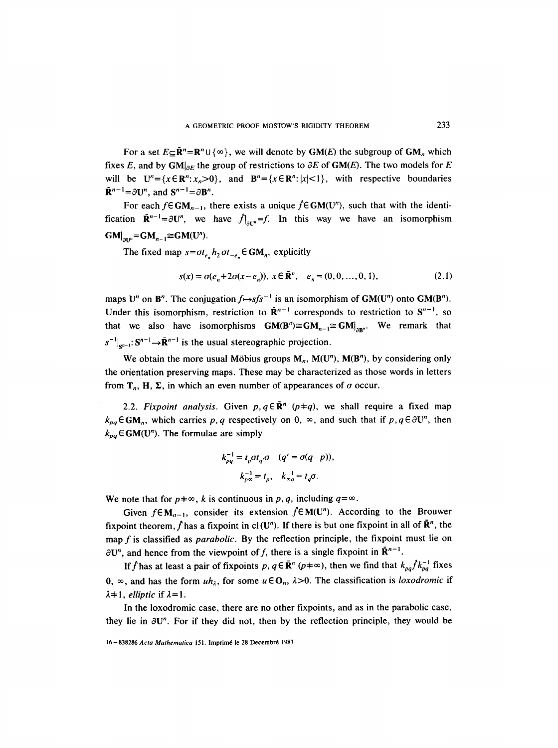For a set  $E \subset \mathbb{R}^n = \mathbb{R}^n \cup \{ \infty \}$ , we will denote by  $\mathbf{GM}(E)$  the subgroup of GM<sub>n</sub>, which fixes E, and by  $GM|_{\partial E}$  the group of restrictions to  $\partial E$  of  $GM(E)$ . The two models for E will be  $U^n = \{x \in \mathbb{R}^n : x_n > 0\}$ , and  $\mathbb{B}^n = \{x \in \mathbb{R}^n : |x| < 1\}$ , with respective boundaries  $\bar{\mathbf{R}}^{n-1} = \partial \mathbf{U}^n$ , and  $\mathbf{S}^{n-1} = \partial \mathbf{B}^n$ .

For each  $f \in GM_{n-1}$ , there exists a unique  $\hat{f} \in GM(U^n)$ , such that with the identification  $\mathbf{\bar{R}}^{n-1} = \partial \mathbf{U}^n$ , we have  $f|_{\partial \mathbf{I}^n} = f$ . In this way we have an isomorphism  $GM|_{\partial U^n} = GM_{n-1} \cong GM(U^n).$ 

The fixed map  $s = \sigma t_{e_n} h_2 \sigma t_{-e_n} \in GM_n$ , explicitly

$$
s(x) = \sigma(e_n + 2\sigma(x - e_n)), \ x \in \mathbf{R}^n, \quad e_n = (0, 0, ..., 0, 1), \tag{2.1}
$$

maps U<sup>n</sup> on B<sup>n</sup>. The conjugation  $f \mapsto s f s^{-1}$  is an isomorphism of GM(U<sup>n</sup>) onto GM(B<sup>n</sup>). Under this isomorphism, restriction to  $\mathbf{R}^{n-1}$  corresponds to restriction to  $\mathbf{S}^{n-1}$ , so that we also have isomorphisms  $GM(B^n) \cong GM_{n-1} \cong GM|_{\text{max}}$ . We remark that  $s^{-1}|_{s^{n-1}}$ :  $S^{n-1} \rightarrow \bar{R}^{n-1}$  is the usual stereographic projection.

We obtain the more usual Möbius groups  $M_n$ ,  $M(U^n)$ ,  $M(B^n)$ , by considering only the orientation preserving maps. These may be characterized as those words in letters from  $T_n$ , H,  $\Sigma$ , in which an even number of appearances of  $\sigma$  occur.

2.2. *Fixpoint analysis.* Given  $p, q \in \mathbb{R}^n$  ( $p \neq q$ ), we shall require a fixed map  $k_{pa} \in GM_n$ , which carries p, q respectively on 0,  $\infty$ , and such that if p, q  $\in \partial U^n$ , then  $k_{pq} \in GM(U^n)$ . The formulae are simply

$$
k_{pq}^{-1} = t_p \sigma t_q \cdot \sigma \quad (q' = \sigma(q-p)),
$$
  

$$
k_{p\infty}^{-1} = t_p, \quad k_{\infty}^{-1} = t_q \sigma.
$$

We note that for  $p \neq \infty$ , k is continuous in p, q, including  $q = \infty$ .

Given  $f \in M_{n-1}$ , consider its extension  $\hat{f} \in M(U^n)$ . According to the Brouwer fixpoint theorem, f has a fixpoint in cl (U<sup>n</sup>). If there is but one fixpoint in all of  $\mathbb{R}^n$ , the map f is classified as *parabolic.* By the reflection principle, the fixpoint must lie on  $\partial U^n$ , and hence from the viewpoint of f, there is a single fixpoint in  $\mathbf{R}^{n-1}$ .

If f has at least a pair of fixpoints p,  $q \in \mathbb{R}^n$  ( $p \neq \infty$ ), then we find that  $k_{pq} f k_{pq}^{-1}$  fixes 0,  $\infty$ , and has the form  $uh_{\lambda}$ , for some  $u \in O_n$ ,  $\lambda > 0$ . The classification is *loxodromic* if  $\lambda + 1$ , *elliptic* if  $\lambda = 1$ .

In the loxodromic case, there are no other fixpoints, and as in the parabolic case, they lie in  $\partial U^n$ . For if they did not, then by the reflection principle, they would be

<sup>16-838286</sup> Acta Mathematica 151. Imprimé le 28 Decembré 1983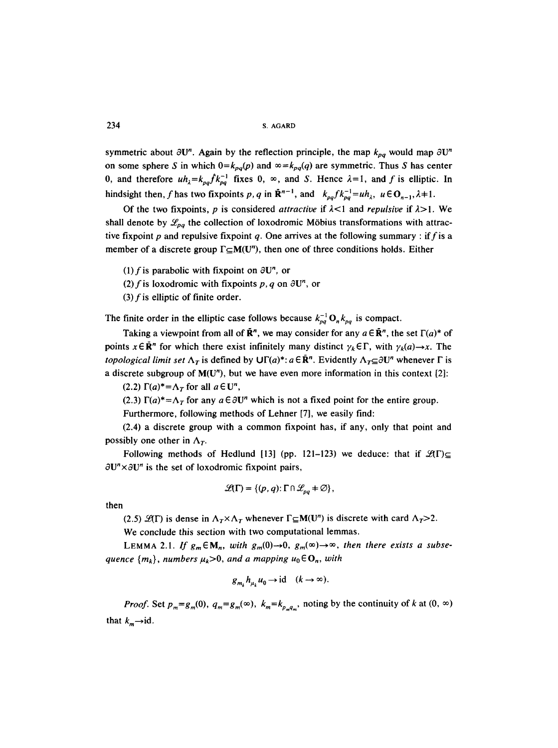symmetric about  $\partial U^n$ . Again by the reflection principle, the map  $k_{pq}$  would map  $\partial U^n$ on some sphere S in which  $0=k_{pq}(p)$  and  $\infty=k_{pq}(q)$  are symmetric. Thus S has center 0, and therefore  $uh_{\lambda}=k_{\rho g}f k_{\rho g}^{-1}$  fixes 0,  $\infty$ , and S. Hence  $\lambda=1$ , and f is elliptic. In hindsight then, f has two fixpoints p, q in  $\mathbf{\bar{R}}^{n-1}$ , and  $k_{pq} f k_{pq}^{-1} = u h_{\lambda}$ ,  $u \in \mathbf{O}_{n-1}$ ,  $\lambda + 1$ .

Of the two fixpoints, p is considered *attractive* if  $\lambda$ <1 and *repulsive* if  $\lambda$ >1. We shall denote by  $\mathcal{L}_{pq}$  the collection of loxodromic Möbius transformations with attractive fixpoint p and repulsive fixpoint q. One arrives at the following summary : if f is a member of a discrete group  $\Gamma \subset M(U^n)$ , then one of three conditions holds. Either

(1) f is parabolic with fixpoint on  $\partial U^n$ , or

(2) f is loxodromic with fixpoints p, q on  $\partial U^n$ , or

(3)  $f$  is elliptic of finite order.

The finite order in the elliptic case follows because  $k_{pq}^{-1}$  O<sub>n</sub> $k_{pq}$  is compact.

Taking a viewpoint from all of  $\mathbf{\bar{R}}^{n}$ , we may consider for any  $a \in \mathbf{\bar{R}}^{n}$ , the set  $\Gamma(a)^{*}$  of points  $x \in \mathbb{R}^n$  for which there exist infinitely many distinct  $\gamma_k \in \Gamma$ , with  $\gamma_k(a) \to x$ . The *topological limit set*  $\Lambda_T$  is defined by  $\bigcup \Gamma(a)^*$ :  $a \in \mathbb{R}^n$ . Evidently  $\Lambda_T \subseteq \partial \mathbb{U}^n$  whenever  $\Gamma$  is a discrete subgroup of  $M(U^n)$ , but we have even more information in this context [2]:

(2.2)  $\Gamma(a)^* = \Lambda_T$  for all  $a \in U^n$ ,

(2.3)  $\Gamma(a)^* = \Lambda_T$  for any  $a \in \partial U^n$  which is not a fixed point for the entire group.

Furthermore, following methods of Lehner [7], we easily find:

(2.4) a discrete group with a common fixpoint has, if any, only that point and possibly one other in  $\Lambda_T$ .

Following methods of Hedlund [13] (pp. 121-123) we deduce: that if  $\mathcal{L}(\Gamma) \subseteq$  $\partial U'' \times \partial U''$  is the set of loxodromic fixpoint pairs,

$$
\mathscr{L}(\Gamma) = \{ (p, q) : \Gamma \cap \mathscr{L}_{pq} \neq \varnothing \},\
$$

then

(2.5)  $\mathcal{L}(\Gamma)$  is dense in  $\Lambda_T \times \Lambda_T$  whenever  $\Gamma \subseteq M(U^n)$  is discrete with card  $\Lambda_T > 2$ .

We conclude this section with two computational lemmas.

LEMMA 2.1. If  $g_m \in M_n$ , with  $g_m(0) \to 0$ ,  $g_m(\infty) \to \infty$ , then there exists a subse*quence*  $\{m_k\}$ , *numbers*  $\mu_k>0$ , and a mapping  $u_0 \in \mathbf{O}_n$ , with

$$
g_{m_k}h_{\mu_k}u_0 \to id \quad (k \to \infty).
$$

*Proof.* Set  $p_m = g_m(0)$ ,  $q_m = g_m(\infty)$ ,  $k_m = k_{p_m q_m}$ , noting by the continuity of k at  $(0, \infty)$ that  $k_m \rightarrow id$ .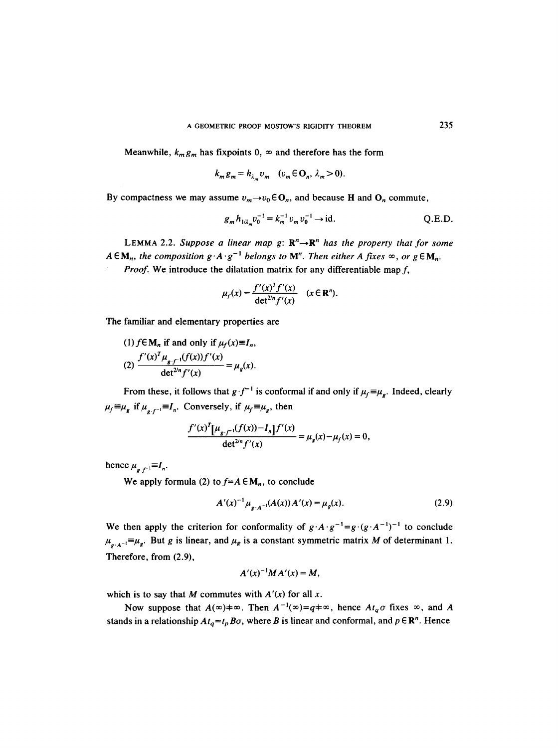Meanwhile,  $k_m g_m$  has fixpoints 0,  $\infty$  and therefore has the form

$$
k_m g_m = h_{\lambda_m} v_m \quad (v_m \in \mathbf{O}_n, \lambda_m > 0).
$$

By compactness we may assume  $v_m \rightarrow v_0 \in \mathbb{O}_n$ , and because H and  $\mathbb{O}_n$  commute,

$$
g_m h_{1/\lambda_m} v_0^{-1} = k_m^{-1} v_m v_0^{-1} \to \text{id}.
$$
 Q.E.D.

LEMMA 2.2. Suppose a linear map  $g: \mathbb{R}^n \rightarrow \mathbb{R}^n$  has the property that for some  $A \in M_n$ , the composition  $g \cdot A \cdot g^{-1}$  belongs to M<sup>n</sup>. Then either A fixes  $\infty$ , or  $g \in M_n$ .

*Proof.* We introduce the dilatation matrix for any differentiable map f,

$$
\mu_f(x) = \frac{f'(x)^T f'(x)}{\det^{2/n} f'(x)} \quad (x \in \mathbb{R}^n).
$$

The familiar and elementary properties are

(1)  $f \in M_n$  if and only if  $\mu_f(x) \equiv I_n$ ,  $\int f'(x) f''(x) \mu_{g(f^{-1}}(f(x))) f'(x)$  $\det^{2/n} f'(x)$   $\qquad \qquad$   $\qquad$   $\qquad$   $\qquad$   $\qquad$   $\qquad$   $\qquad$   $\qquad$   $\qquad$   $\qquad$   $\qquad$   $\qquad$   $\qquad$   $\qquad$   $\qquad$   $\qquad$   $\qquad$   $\qquad$   $\qquad$   $\qquad$   $\qquad$   $\qquad$   $\qquad$   $\qquad$   $\qquad$   $\qquad$   $\qquad$   $\qquad$   $\qquad$   $\qquad$   $\qquad$   $\qquad$   $\qquad$   $\qquad$ 

From these, it follows that  $g \cdot f^{-1}$  is conformal if and only if  $\mu_f \equiv \mu_g$ . Indeed, clearly  $\mu_f \equiv \mu_g$  if  $\mu_{g,f^{-1}} = I_n$ . Conversely, if  $\mu_f \equiv \mu_g$ , then

$$
\frac{f'(x)^T[\mu_{g-f^{-1}}(f(x)) - I_n]f'(x)}{\det^{2n}f'(x)} = \mu_g(x) - \mu_f(x) = 0,
$$

hence  $\mu_{e,f^{-1}} \equiv I_n$ .

We apply formula (2) to  $f = A \in M_n$ , to conclude

$$
A'(x)^{-1} \mu_{\sigma \cdot A^{-1}}(A(x)) A'(x) = \mu_{g}(x). \tag{2.9}
$$

We then apply the criterion for conformality of  $g \cdot A \cdot g^{-1} = g \cdot (g \cdot A^{-1})^{-1}$  to conclude  $\mu_{g \cdot A^{-1}} = \mu_g$ . But g is linear, and  $\mu_g$  is a constant symmetric matrix M of determinant 1. Therefore, from (2.9),

$$
A'(x)^{-1}MA'(x)=M,
$$

which is to say that M commutes with  $A'(x)$  for all x.

Now suppose that  $A(\infty) \neq \infty$ . Then  $A^{-1}(\infty) = q \neq \infty$ , hence  $At_q \sigma$  fixes  $\infty$ , and A stands in a relationship  $At_q=t_pB\sigma$ , where B is linear and conformal, and  $p \in \mathbb{R}^n$ . Hence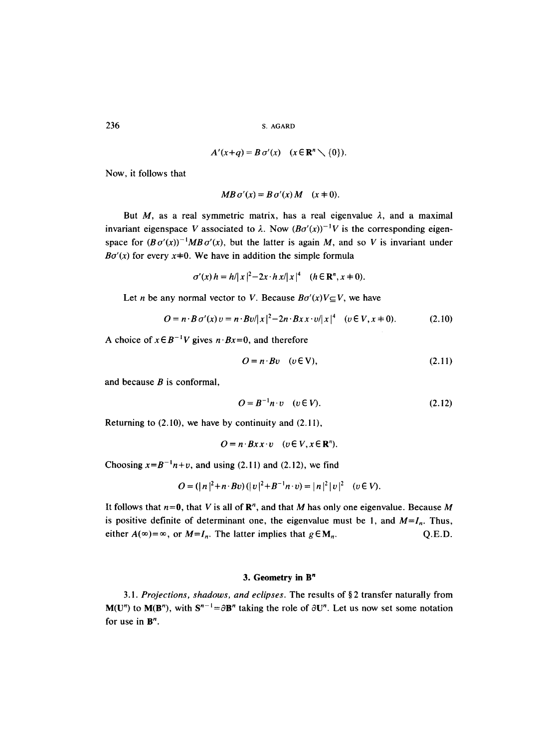$$
A'(x+q) = B \sigma'(x) \quad (x \in \mathbb{R}^n \setminus \{0\}).
$$

Now, it follows that

$$
MB\,\sigma'(x) = B\,\sigma'(x)\,M \quad (x \pm 0).
$$

But M, as a real symmetric matrix, has a real eigenvalue  $\lambda$ , and a maximal invariant eigenspace V associated to  $\lambda$ . Now  $(B\sigma'(x))^{-1}V$  is the corresponding eigenspace for  $(B\sigma'(x))^{-1}MB\sigma'(x)$ , but the latter is again M, and so V is invariant under  $B\sigma'(x)$  for every  $x\neq 0$ . We have in addition the simple formula

$$
\sigma'(x) h = h/|x|^2 - 2x \cdot h x/|x|^4 \quad (h \in \mathbb{R}^n, x \neq 0).
$$

Let *n* be any normal vector to *V*. Because  $B\sigma'(x)V \subseteq V$ , we have

$$
O = n \cdot B \sigma'(x) v = n \cdot Bv/|x|^2 - 2n \cdot Bx x \cdot v/|x|^4 \quad (v \in V, x \neq 0). \tag{2.10}
$$

A choice of  $x \in B^{-1}V$  gives  $n \cdot Bx = 0$ , and therefore

$$
O = n \cdot Bv \quad (v \in V), \tag{2.11}
$$

and because  $B$  is conformal,

$$
O = B^{-1}n \cdot v \quad (v \in V). \tag{2.12}
$$

Returning to  $(2.10)$ , we have by continuity and  $(2.11)$ ,

$$
O = n \cdot B x x \cdot v \quad (v \in V, x \in \mathbb{R}^n).
$$

Choosing  $x=B^{-1}n+v$ , and using (2.11) and (2.12), we find

$$
O = (|n|^2 + n \cdot Bv) (|v|^2 + B^{-1}n \cdot v) = |n|^2 |v|^2 \quad (v \in V).
$$

It follows that  $n=0$ , that V is all of  $\mathbb{R}^n$ , and that M has only one eigenvalue. Because M is positive definite of determinant one, the eigenvalue must be 1, and  $M=I_n$ . Thus, either  $A(\infty) = \infty$ , or  $M = I_n$ . The latter implies that  $g \in M_n$ . Q.E.D.

# **3. Geometry in B<sup>n</sup>**

3.1. Projections, shadows, and eclipses. The results of §2 transfer naturally from  $M(U^n)$  to  $M(B^n)$ , with  $S^{n-1} = \partial B^n$  taking the role of  $\partial U^n$ . Let us now set some notation for use in  $B<sup>n</sup>$ .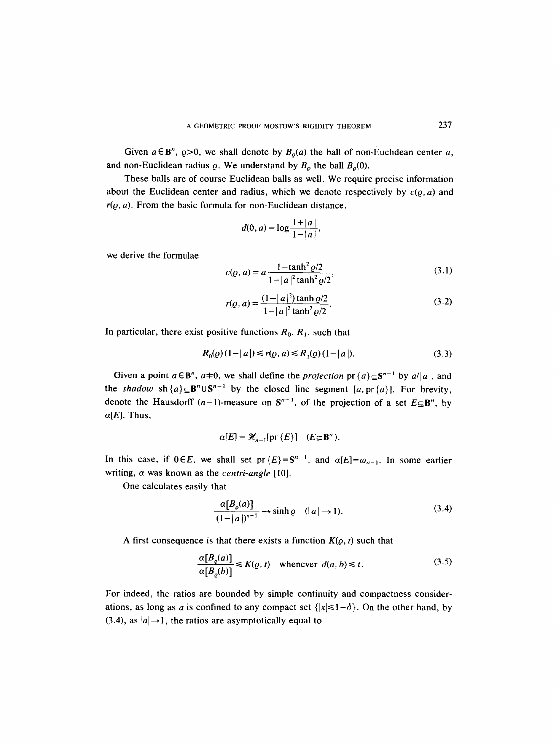Given  $a \in \mathbb{B}^n$ ,  $\varrho > 0$ , we shall denote by  $B_o(a)$  the ball of non-Euclidean center a, and non-Euclidean radius  $\rho$ . We understand by  $B_{\rho}$  the ball  $B_{\rho}(0)$ .

These balls are of course Euclidean balls as well. We require precise information about the Euclidean center and radius, which we denote respectively by  $c(\rho, a)$  and  $r(\rho, a)$ . From the basic formula for non-Euclidean distance,

$$
d(0, a) = \log \frac{1 + |a|}{1 - |a|},
$$

we derive the formulae

$$
c(\varrho, a) = a \frac{1 - \tanh^2 \varrho / 2}{1 - |a|^2 \tanh^2 \varrho / 2},
$$
\n(3.1)

$$
r(\varrho, a) = \frac{(1-|a|^2)\tanh \varrho/2}{1-|a|^2 \tanh^2 \varrho/2}.
$$
 (3.2)

In particular, there exist positive functions  $R_0, R_1$ , such that

$$
R_0(\varrho)(1-|a|) \le r(\varrho, a) \le R_1(\varrho)(1-|a|). \tag{3.3}
$$

Given a point  $a \in \mathbb{B}^n$ ,  $a \neq 0$ , we shall define the *projection*  $pr\{a\} \subseteq \mathbb{S}^{n-1}$  by  $a/|a|$ , and the *shadow*  $\text{sh}\{a\} \subseteq \mathbf{B}^n \cup \mathbf{S}^{n-1}$  by the closed line segment [a, pr{a}]. For brevity, denote the Hausdorff  $(n-1)$ -measure on  $S^{n-1}$ , of the projection of a set  $E \subseteq B^n$ , by  $\alpha[E]$ . Thus,

$$
\alpha[E] = \mathcal{H}_{n-1}[\text{pr }\{E\}] \quad (E \subseteq \mathbf{B}^n).
$$

In this case, if  $0 \in E$ , we shall set pr $\{E\} = S^{n-1}$ , and  $\alpha[E] = \omega_{n-1}$ . In some earlier writing, a was known as the *centri-angle* [10].

One calculates easily that

$$
\frac{\alpha[B_{\varrho}(a)]}{(1-|a|)^{n-1}} \to \sinh \varrho \quad (|a| \to 1). \tag{3.4}
$$

A first consequence is that there exists a function  $K(\varrho, t)$  such that

$$
\frac{\alpha[B_{\varrho}(a)]}{\alpha[B_{\varrho}(b)]} \le K(\varrho, t) \quad \text{whenever} \quad d(a, b) \le t. \tag{3.5}
$$

For indeed, the ratios are bounded by simple continuity and compactness considerations, as long as a is confined to any compact set  $\{|x| \leq 1-\delta\}$ . On the other hand, by (3.4), as  $|a| \rightarrow 1$ , the ratios are asymptotically equal to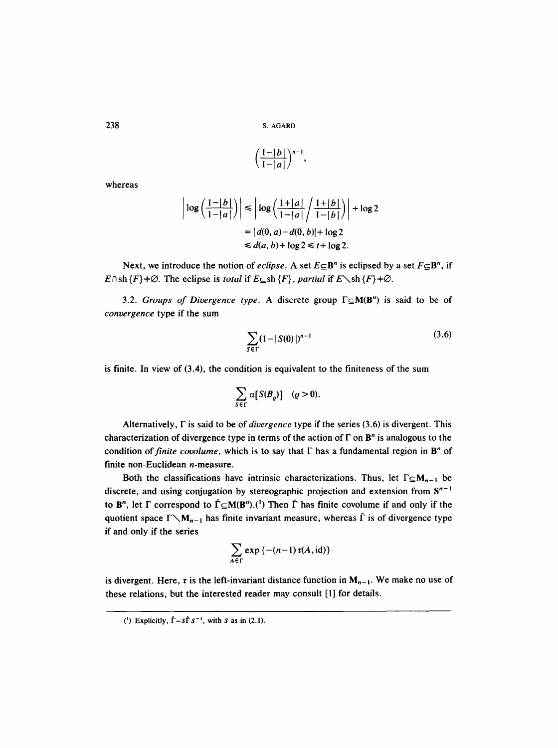$$
\left(\frac{1-|b|}{1-|a|}\right)^{n-1},
$$

whereas

$$
\left|\log\left(\frac{1-|b|}{1-|a|}\right)\right| \le \left|\log\left(\frac{1+|a|}{1-|a|}\right/\frac{1+|b|}{1-|b|}\right)\right| + \log 2
$$

$$
= |d(0,a) - d(0,b)| + \log 2
$$

$$
\le d(a,b) + \log 2 \le t + \log 2.
$$

Next, we introduce the notion of *eclipse*. A set  $E \subseteq B^n$  is eclipsed by a set  $F \subseteq B^n$ , if E $\cap$ sh {F}  $\neq \emptyset$ . The eclipse is *total* if  $E \subseteq$ sh {F}, *partial* if  $E \setminus$ sh {F}  $\neq \emptyset$ .

3.2. *Groups of Divergence type.* A discrete group  $\Gamma \subseteq M(B^n)$  is said to be of *convergence* type if the sum

$$
\sum_{S \in \Gamma} (1 - |S(0)|)^{n-1} \tag{3.6}
$$

is finite. In view of (3.4), the condition is equivalent to the finiteness of the sum

$$
\sum_{S \in \Gamma} \alpha[S(B_{\varrho})] \quad (\varrho > 0).
$$

Alternatively, F is said to be of *divergence* type if the series (3.6) is divergent. This characterization of divergence type in terms of the action of  $\Gamma$  on  $\mathbf{B}^n$  is analogous to the condition of *finite covolume*, which is to say that  $\Gamma$  has a fundamental region in  $\mathbf{B}^n$  of finite non-Euclidean n-measure.

Both the classifications have intrinsic characterizations. Thus, let  $\Gamma \subseteq M_{n-1}$  be discrete, and using conjugation by stereographic projection and extension from  $S^{n-1}$ to  $\mathbf{B}^n$ , let  $\Gamma$  correspond to  $\tilde{\Gamma} \subseteq M(\mathbf{B}^n)$ .<sup>(1</sup>) Then  $\tilde{\Gamma}$  has finite covolume if and only if the quotient space  $\Gamma \setminus M_{n-1}$  has finite invariant measure, whereas  $\tilde{\Gamma}$  is of divergence type if and only if the series

$$
\sum_{A\in\Gamma}\exp\left\{-(n-1)\,\tau(A,\mathrm{id})\right\}
$$

is divergent. Here,  $\tau$  is the left-invariant distance function in  $M_{n-1}$ . We make no use of these relations, but the interested reader may consult [1] for details.

<sup>(&</sup>lt;sup>1</sup>) Explicitly,  $\tilde{\Gamma} = s\tilde{\Gamma} s^{-1}$ , with s as in (2.1).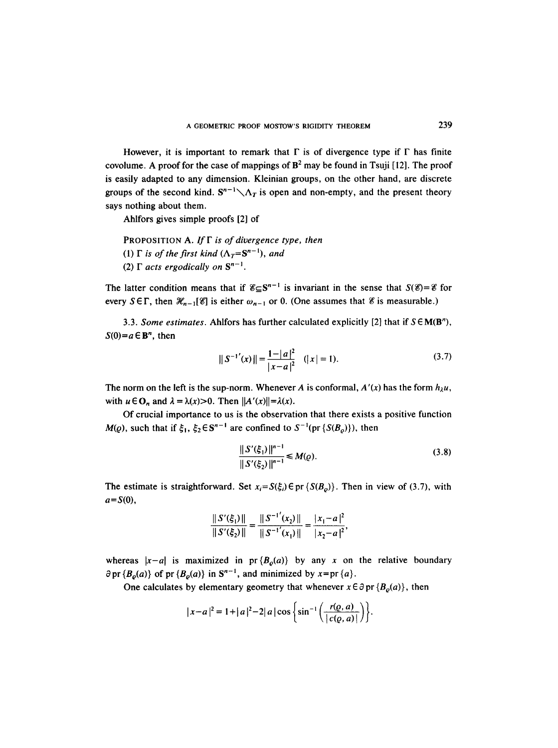However, it is important to remark that  $\Gamma$  is of divergence type if  $\Gamma$  has finite covolume. A proof for the case of mappings of  $\mathbf{B}^2$  may be found in Tsuji [12]. The proof is easily adapted to any dimension. Kleinian groups, on the other hand, are discrete groups of the second kind.  $S^{n-1}\diagdown \Lambda_T$  is open and non-empty, and the present theory says nothing about them.

Ahlfors gives simple proofs [2] of

PROPOSITION A. If  $\Gamma$  *is of divergence type, then* 

- (1)  $\Gamma$  *is of the first kind*  $(\Lambda_T = S^{n-1})$ , *and*
- (2)  $\Gamma$  *acts ergodically on*  $S^{n-1}$ .

The latter condition means that if  $\mathscr{E} \subseteq S^{n-1}$  is invariant in the sense that  $S(\mathscr{E}) = \mathscr{E}$  for every  $S \in \Gamma$ , then  $\mathcal{H}_{n-1}[{\mathscr{C}}]$  is either  $\omega_{n-1}$  or 0. (One assumes that  ${\mathscr{C}}$  is measurable.)

3.3. *Some estimates.* Ahlfors has further calculated explicitly [2] that if  $S \in M(B^n)$ ,  $S(0)=a \in \mathbb{B}^n$ , then

$$
||S^{-1'}(x)|| = \frac{1-|a|^2}{|x-a|^2} \quad (|x|=1). \tag{3.7}
$$

The norm on the left is the sup-norm. Whenever A is conformal,  $A'(x)$  has the form  $h_{\lambda}u$ , with  $u \in \mathbf{O}_n$  and  $\lambda = \lambda(x) > 0$ . Then  $||A'(x)|| = \lambda(x)$ .

Of crucial importance to us is the observation that there exists a positive function  $M(\varrho)$ , such that if  $\xi_1$ ,  $\xi_2 \in S^{n-1}$  are confined to  $S^{-1}(\text{pr } \{S(B_{\varrho})\})$ , then

$$
\frac{\|S'(\xi_1)\|^{n-1}}{\|S'(\xi_2)\|^{n-1}} \le M(\varrho).
$$
\n(3.8)

The estimate is straightforward. Set  $x_i = S(\xi_i) \in \text{pr} \{ S(B_0) \}$ . Then in view of (3.7), with  $a=S(0),$ 

$$
\frac{\|S'(\xi_1)\|}{\|S'(\xi_2)\|} = \frac{\|S^{-1'}(x_2)\|}{\|S^{-1'}(x_1)\|} = \frac{|x_1 - a|^2}{|x_2 - a|^2},
$$

whereas  $|x-a|$  is maximized in pr  ${B_o(a)}$  by any x on the relative boundary  $\partial$  pr { $B_{\varrho}(a)$ } of pr { $B_{\varrho}(a)$ } in S<sup>n-1</sup>, and minimized by x=pr {a}.

One calculates by elementary geometry that whenever  $x \in \partial$  pr  $\{B_o(a)\}\)$ , then

$$
|x-a|^2 = 1 + |a|^2 - 2|a|\cos\left\{\sin^{-1}\left(\frac{r(\varrho, a)}{|c(\varrho, a)|}\right)\right\}.
$$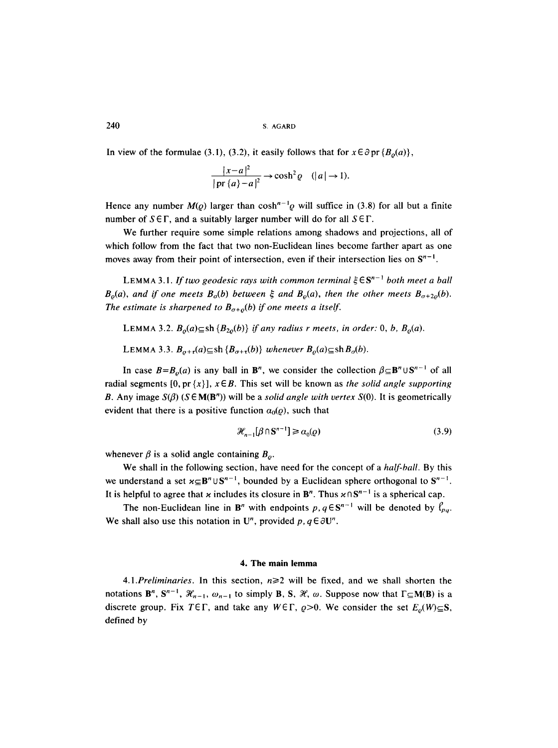In view of the formulae (3.1), (3.2), it easily follows that for  $x \in \partial \text{pr} \{B_o(a)\},$ 

$$
\frac{|x-a|^2}{|\operatorname{pr} \{a\}-a|^2} \to \cosh^2 \varrho \quad (|a| \to 1).
$$

Hence any number  $M(\rho)$  larger than cosh<sup>n-1</sup> $\rho$  will suffice in (3.8) for all but a finite number of  $S \in \Gamma$ , and a suitably larger number will do for all  $S \in \Gamma$ .

We further require some simple relations among shadows and projections, all of which follow from the fact that two non-Euclidean lines become farther apart as one moves away from their point of intersection, even if their intersection lies on  $S^{n-1}$ .

LEMMA 3.1. *If two geodesic rays with common terminal*  $\xi \in S^{n-1}$  *both meet a ball*  $B<sub>o</sub>(a)$ , and if one meets  $B<sub>o</sub>(b)$  between  $\xi$  and  $B<sub>o</sub>(a)$ , then the other meets  $B<sub>o+2o</sub>(b)$ . The estimate is sharpened to  $B_{\sigma+\rho}(b)$  if one meets a itself.

LEMMA 3.2.  $B_o(a) \subseteq sh \{B_{2o}(b)\}\$  *if any radius r meets, in order:* 0, *b,*  $B_o(a)$ .

LEMMA 3.3.  $B_{o+r}(a) \subseteq \text{sh } \{B_{o+r}(b)\}$  *whenever*  $B_o(a) \subseteq \text{sh } B_o(b)$ .

In case  $B=B_{\rho}(a)$  is any ball in B<sup>n</sup>, we consider the collection  $\beta \subseteq B^n \cup S^{n-1}$  of all radial segments  $[0, pr\{x\}], x \in B$ . This set will be known as *the solid angle supporting* B. Any image  $S(\beta)$  ( $S \in M(B^n)$ ) will be a *solid angle with vertex*  $S(0)$ . It is geometrically evident that there is a positive function  $\alpha_0(\rho)$ , such that

$$
\mathcal{H}_{n-1}[\beta \cap \mathbf{S}^{n-1}] \ge \alpha_0(\varrho) \tag{3.9}
$$

whenever  $\beta$  is a solid angle containing  $B_{\rho}$ .

We shall in the following section, have need for the concept of a *half-ball.* By this we understand a set  $x \subseteq B^n \cup S^{n-1}$ , bounded by a Euclidean sphere orthogonal to  $S^{n-1}$ . It is helpful to agree that x includes its closure in  $B^n$ . Thus  $x \cap S^{n-1}$  is a spherical cap.

The non-Euclidean line in  $\mathbf{B}^n$  with endpoints  $p, q \in \mathbf{S}^{n-1}$  will be denoted by  $\ell_{pq}$ . We shall also use this notation in U<sup>n</sup>, provided p,  $q \in \partial U^n$ .

### **4. The main lemma**

4.1.*Preliminaries*. In this section,  $n \ge 2$  will be fixed, and we shall shorten the notations  $B^n$ ,  $S^{n-1}$ ,  $\mathcal{H}_{n-1}$ ,  $\omega_{n-1}$  to simply B, S,  $\mathcal{H}$ ,  $\omega$ . Suppose now that  $\Gamma \subseteq M(B)$  is a discrete group. Fix  $T \in \Gamma$ , and take any  $W \in \Gamma$ ,  $\rho > 0$ . We consider the set  $E_{\rho}(W) \subseteq S$ , defined by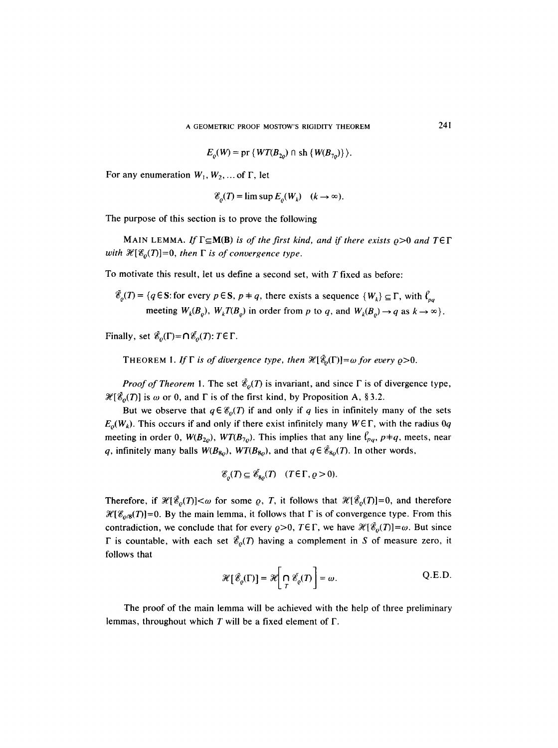$$
E_o(W) = \text{pr} \{ WT(B_{2o}) \cap \text{sh} \{ W(B_{7o}) \} \}.
$$

For any enumeration  $W_1, W_2, \dots$  of  $\Gamma$ , let

$$
\mathcal{E}_o(T) = \limsup E_o(W_k) \quad (k \to \infty).
$$

The purpose of this section is to prove the following

MAIN LEMMA. If  $\Gamma \subseteq M(B)$  is of the first kind, and if there exists  $\rho > 0$  and  $T \in \Gamma$ *with*  $\mathcal{H}[{\mathscr{E}_o}(T)] = 0$ , *then*  $\Gamma$  *is of convergence type.* 

To motivate this result, let us define a second set, with T fixed as before:

$$
\mathcal{E}_\varrho(T) = \{ q \in \mathbf{S} : \text{for every } p \in \mathbf{S}, p \neq q, \text{ there exists a sequence } \{W_k\} \subseteq \Gamma, \text{ with } \ell_{pq} \}
$$
  
meeting  $W_k(B_\varrho)$ ,  $W_k T(B_\varrho)$  in order from p to q, and  $W_k(B_\varrho) \to q$  as  $k \to \infty$ .

Finally, set  $\tilde{\mathcal{E}}_o(\Gamma) = \bigcap \tilde{\mathcal{E}}_o(T)$ :  $T \in \Gamma$ .

THEOREM 1. If  $\Gamma$  is of divergence type, then  $\mathscr{H}[\tilde{\mathscr{E}}_0(\Gamma)] = \omega$  for every  $\rho > 0$ .

*Proof of Theorem 1.* The set  $\tilde{\mathcal{E}}_{o}(T)$  is invariant, and since  $\Gamma$  is of divergence type,  $\mathcal{H}[\tilde{\mathcal{E}}_o(T)]$  is  $\omega$  or 0, and  $\Gamma$  is of the first kind, by Proposition A, §3.2.

But we observe that  $q \in \mathcal{E}_o(T)$  if and only if q lies in infinitely many of the sets  $E_0(W_k)$ . This occurs if and only if there exist infinitely many  $W \in \Gamma$ , with the radius 0q meeting in order 0,  $W(B_{2o})$ ,  $WT(B_{7o})$ . This implies that any line  $\ell_{pq}$ ,  $p\neq q$ , meets, near q, infinitely many balls  $W(B_{80})$ ,  $WT(B_{80})$ , and that  $q \in \tilde{\mathcal{E}}_{80}(T)$ . In other words,

$$
\mathscr{E}_o(T) \subseteq \mathscr{E}_{8o}(T) \quad (T \in \Gamma, \varrho > 0).
$$

Therefore, if  $\mathcal{H}[\tilde{\mathcal{E}}_o(T)]<\omega$  for some  $\varrho$ , T, it follows that  $\mathcal{H}[\tilde{\mathcal{E}}_o(T)]=0$ , and therefore  $\mathcal{H}[\mathcal{E}_{\rho/8}(T)]=0$ . By the main lemma, it follows that  $\Gamma$  is of convergence type. From this contradiction, we conclude that for every  $\rho > 0$ ,  $T \in \Gamma$ , we have  $\mathcal{H}[\tilde{\mathcal{E}}_0(T)] = \omega$ . But since  $\Gamma$  is countable, with each set  $\tilde{\mathscr{E}}_{\rho}(T)$  having a complement in S of measure zero, it follows that

$$
\mathcal{H}\left[\tilde{\mathcal{E}}_{\varrho}(\Gamma)\right] = \mathcal{H}\left[\bigcap_{T} \tilde{\mathcal{E}}_{\varrho}(T)\right] = \omega.
$$
 Q.E.D.

The proof of the main lemma will be achieved with the help of three preliminary lemmas, throughout which  $T$  will be a fixed element of  $\Gamma$ .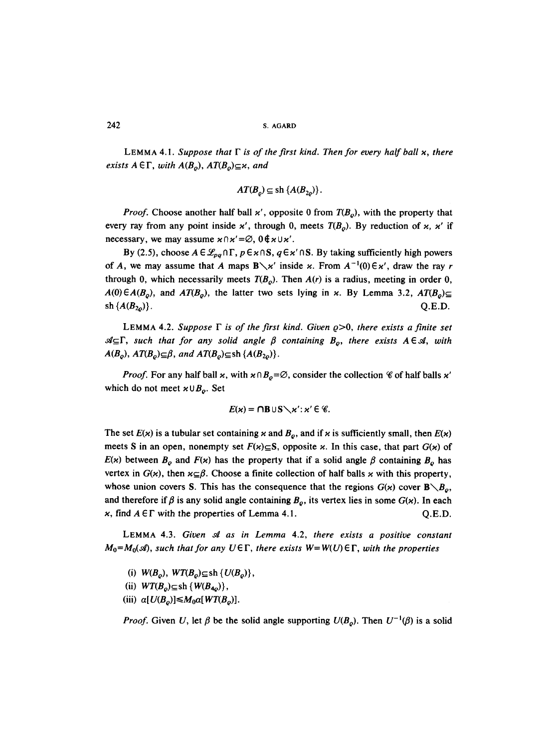LEMMA 4.1. Suppose that  $\Gamma$  is of the first kind. Then for every half ball  $x$ , there *exists A*  $\in$  *F*, *with A(B<sub>o</sub>)*, *AT(B<sub>o</sub>)* $\subseteq$ *x*, *and* 

$$
AT(B_{\rho}) \subseteq \text{sh} \{A(B_{2\rho})\}.
$$

*Proof.* Choose another half ball  $x'$ , opposite 0 from  $T(B_0)$ , with the property that every ray from any point inside  $x'$ , through 0, meets  $T(B_0)$ . By reduction of x, x' if necessary, we may assume  $\varkappa \cap \varkappa' = \emptyset$ ,  $0 \notin \varkappa \cup \varkappa'$ .

By (2.5), choose  $A \in \mathcal{L}_{pq} \cap \Gamma$ ,  $p \in \kappa \cap S$ ,  $q \in \kappa' \cap S$ . By taking sufficiently high powers of A, we may assume that A maps  $B \setminus x'$  inside x. From  $A^{-1}(0) \in x'$ , draw the ray r through 0, which necessarily meets  $T(B_0)$ . Then  $A(r)$  is a radius, meeting in order 0,  $A(0) \in A(B_o)$ , and  $AT(B_o)$ , the latter two sets lying in x. By Lemma 3.2,  $AT(B_o) \subseteq$ sh  $\{A(B_{2n})\}$ . Q.E.D.

LEMMA 4.2. Suppose  $\Gamma$  is of the first kind. Given  $\rho > 0$ , there exists a finite set  $\mathcal{A}_{\subseteq} \Gamma$ , such that for any solid angle  $\beta$  containing  $B_o$ , there exists  $A \in \mathcal{A}$ , with  $A(B_{\rho}), AT(B_{\rho})\subseteq\beta$ , and  $AT(B_{\rho})\subseteq\text{sh} \{A(B_{2\rho})\}.$ 

*Proof.* For any half ball  $x$ , with  $x \cap B_0 = \emptyset$ , consider the collection  $\mathscr C$  of half balls  $x'$ which do not meet  $x \cup B_{\rho}$ . Set

$$
E(\varkappa) = \bigcap B \cup S \setminus \varkappa' : \varkappa' \in \mathscr{C}.
$$

The set  $E(x)$  is a tubular set containing x and  $B<sub>o</sub>$ , and if x is sufficiently small, then  $E(x)$ meets S in an open, nonempty set  $F(x) \subseteq S$ , opposite x. In this case, that part  $G(x)$  of  $E(x)$  between  $B_0$  and  $F(x)$  has the property that if a solid angle  $\beta$  containing  $B_0$  has vertex in  $G(x)$ , then  $x \subseteq \beta$ . Choose a finite collection of half balls x with this property, whose union covers S. This has the consequence that the regions  $G(x)$  cover  $\mathbf{B}\setminus B_o$ , and therefore if  $\beta$  is any solid angle containing  $B_{\rho}$ , its vertex lies in some  $G(x)$ . In each x, find  $A \in \Gamma$  with the properties of Lemma 4.1.  $Q.E.D.$ 

LEMMA 4.3. *Given ~f as in Lemma* 4.2, *there exists a positive constant*   $M_0=M_0(\mathcal{A})$ , *such that for any UET*, *there exists*  $W=W(U)\in\Gamma$ , *with the properties* 

(i)  $W(B_o)$ ,  $WT(B_o) \subseteq$ sh  $\{U(B_o)\},\$ 

(ii)  $WT(B_0) \subseteq$ sh  $\{ W(B_{4\varrho}) \},\$ 

(iii)  $\alpha[U(B_o)] \leq M_0 \alpha[WT(B_o)].$ 

*Proof.* Given U, let  $\beta$  be the solid angle supporting  $U(B_0)$ . Then  $U^{-1}(\beta)$  is a solid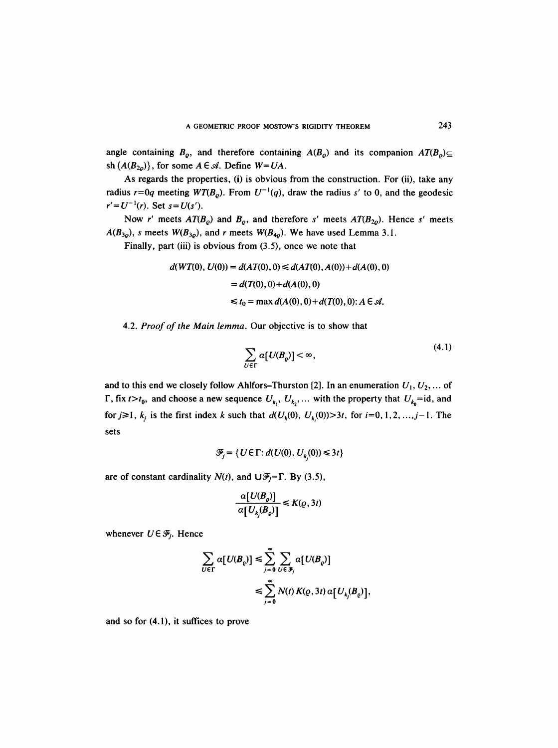angle containing  $B_{\rho}$ , and therefore containing  $A(B_{\rho})$  and its companion  $AT(B_{\rho}) \subseteq$ sh  $\{A(B_{2o})\}$ , for some  $A \in \mathcal{A}$ . Define  $W = UA$ .

As regards the properties, (i) is obvious from the construction. For (ii), take any radius  $r=0q$  meeting  $WT(B_0)$ . From  $U^{-1}(q)$ , draw the radius s' to 0, and the geodesic  $r' = U^{-1}(r)$ . Set  $s = U(s')$ .

Now r' meets  $AT(B_0)$  and  $B_0$ , and therefore s' meets  $AT(B_{20})$ . Hence s' meets  $A(B_{3\rho})$ , s meets  $W(B_{3\rho})$ , and r meets  $W(B_{4\rho})$ . We have used Lemma 3.1.

Finally, part (iii) is obvious from (3.5), once we note that

$$
d(WT(0), U(0)) = d(AT(0), 0) \le d(AT(0), A(0)) + d(A(0), 0)
$$
  
=  $d(T(0), 0) + d(A(0), 0)$   
 $\le t_0 = \max d(A(0), 0) + d(T(0), 0): A \in \mathcal{A}.$ 

4.2. *Proof of the Main lemma.* Our objective is to show that

$$
\sum_{U \in \Gamma} \alpha [U(B_{\varrho})] < \infty,\tag{4.1}
$$

and to this end we closely follow Ahlfors-Thurston [2]. In an enumeration  $U_1, U_2, \ldots$  of  $\Gamma$ , fix  $t>t_0$ , and choose a new sequence  $U_{k_1}$ ,  $U_{k_2}$ , ... with the property that  $U_{k_0}=id$ , and for  $j \ge 1$ ,  $k_i$  is the first index k such that  $d(U_k(0), U_k(0)) > 3t$ , for  $i=0, 1, 2, ..., j-1$ . The sets

$$
\mathcal{F}_i = \{ U \in \Gamma : d(U(0), U_k(0)) \leq 3t \}
$$

are of constant cardinality  $N(t)$ , and  $\bigcup \mathcal{F}_j = \Gamma$ . By (3.5),

$$
\frac{a[U(B_{\varrho})]}{a[U_{k_j}(B_{\varrho})]}\leq K(\varrho,3t)
$$

whenever  $U \in \mathcal{F}_i$ . Hence

$$
\sum_{U \in \Gamma} \alpha [U(B_{\rho})] \leq \sum_{j=0}^{\infty} \sum_{U \in \mathcal{F}_j} \alpha [U(B_{\rho})]
$$
  

$$
\leq \sum_{j=0}^{\infty} N(t) K(\varrho, 3t) \alpha [U_{k_j}(B_{\rho})],
$$

and so for (4.1), it suffices to prove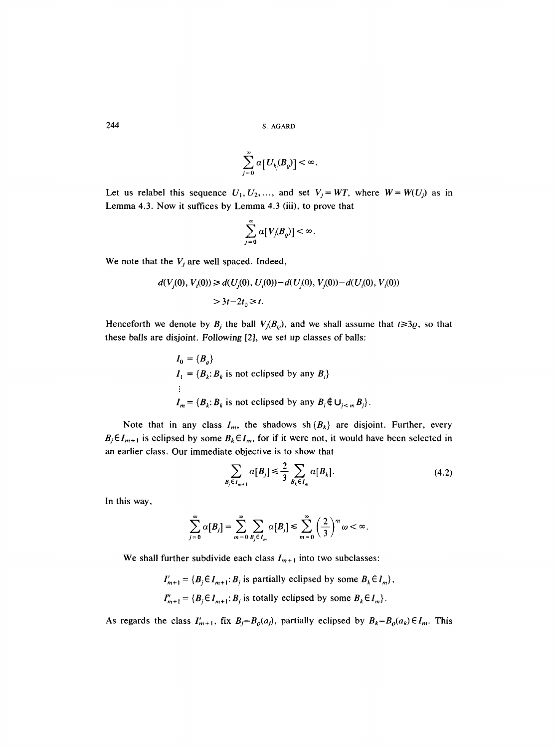$$
\sum_{j=0}^{\infty} \alpha \big[ U_{k_j} (B_\varrho) \big] < \infty.
$$

Let us relabel this sequence  $U_1, U_2, \dots$ , and set  $V_j = WT$ , where  $W = W(U_j)$  as in Lemma 4.3. Now it suffices by Lemma 4.3 (iii), to prove that

$$
\sum_{j=0}^{\infty} \alpha[V_j(B_{\varrho})] < \infty.
$$

We note that the  $V_j$  are well spaced. Indeed,

$$
d(V_j(0), V_i(0)) \ge d(U_j(0), U_i(0)) - d(U_j(0), V_j(0)) - d(U_i(0), V_i(0))
$$
  
> 3t-2t<sub>0</sub>  $\ge t$ .

Henceforth we denote by  $B_i$  the ball  $V_i(B_o)$ , and we shall assume that  $t \ge 3\varrho$ , so that these balls are disjoint. Following [2], we set up classes of balls:

$$
I_0 = \{B_\varrho\}
$$
  
\n
$$
I_1 = \{B_k : B_k \text{ is not eclipsed by any } B_i\}
$$
  
\n:  
\n
$$
I_m = \{B_k : B_k \text{ is not eclipsed by any } B_i \notin \bigcup_{j < m} B_j\}.
$$

Note that in any class  $I_m$ , the shadows sh  $\{B_k\}$  are disjoint. Further, every  $B_j \in I_{m+1}$  is eclipsed by some  $B_k \in I_m$ , for if it were not, it would have been selected in an earlier class. Our immediate objective is to show that

$$
\sum_{B_j \in I_{m+1}} \alpha[B_j] \leq \frac{2}{3} \sum_{B_k \in I_m} \alpha[B_k]. \tag{4.2}
$$

In this way,

$$
\sum_{j=0}^{\infty} \alpha[B_j] = \sum_{m=0}^{\infty} \sum_{B_j \in I_m} \alpha[B_j] \le \sum_{m=0}^{\infty} \left(\frac{2}{3}\right)^m \omega < \infty.
$$

We shall further subdivide each class  $I_{m+1}$  into two subclasses:

 $I'_{m+1} = \{B_j \in I_{m+1}: B_j \text{ is partially eclipsed by some } B_k \in I_m \},$  $I''_{m+1} = \{B_j \in I_{m+1}: B_j \text{ is totally eclipsed by some } B_k \in I_m\}.$ 

As regards the class  $I'_{m+1}$ , fix  $B_j = B_{\varrho}(a_j)$ , partially eclipsed by  $B_k = B_{\varrho}(a_k) \in I_m$ . This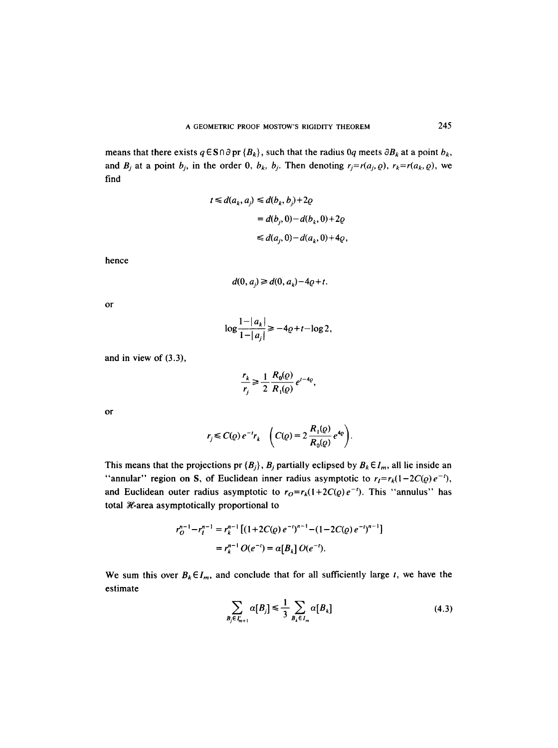means that there exists  $q \in S \cap \partial pr \{B_k\}$ , such that the radius  $0q$  meets  $\partial B_k$  at a point  $b_k$ , and  $B_j$  at a point  $b_j$ , in the order 0,  $b_k$ ,  $b_j$ . Then denoting  $r_j = r(a_j, \rho)$ ,  $r_k = r(a_k, \rho)$ , we find

$$
t \le d(a_k, a_j) \le d(b_k, b_j) + 2\varrho
$$
  
=  $d(b_j, 0) - d(b_k, 0) + 2\varrho$   
 $\le d(a_j, 0) - d(a_k, 0) + 4\varrho$ ,

hence

$$
d(0, ai) \ge d(0, ak) - 4q + t.
$$

or

$$
\log \frac{1-|a_k|}{1-|a_j|} \ge -4\varrho+t-\log 2,
$$

and in view of (3.3),

$$
\frac{r_k}{r_j} \ge \frac{1}{2} \frac{R_0(\varrho)}{R_1(\varrho)} e^{t-4\varrho},
$$

or

$$
r_j \leq C(\varrho) e^{-t} r_k \quad \left( C(\varrho) = 2 \frac{R_1(\varrho)}{R_0(\varrho)} e^{4\varrho} \right).
$$

This means that the projections pr  $\{B_j\}$ ,  $B_j$  partially eclipsed by  $B_k \in I_m$ , all lie inside an "annular" region on S, of Euclidean inner radius asymptotic to  $r_I = r_k(1-2C(\rho)e^{-t})$ , and Euclidean outer radius asymptotic to  $r_0 = r_k(1+2C(\rho)e^{-t})$ . This "annulus" has total  $\mathcal X$ -area asymptotically proportional to

$$
r_0^{n-1} - r_l^{n-1} = r_k^{n-1} \left[ (1 + 2C(\varrho) e^{-t})^{n-1} - (1 - 2C(\varrho) e^{-t})^{n-1} \right]
$$
  
=  $r_k^{n-1} O(e^{-t}) = \alpha [B_k] O(e^{-t}).$ 

We sum this over  $B_k \in I_m$ , and conclude that for all sufficiently large t, we have the estimate

$$
\sum_{B_j \in I'_{m+1}} \alpha[B_j] \le \frac{1}{3} \sum_{B_k \in I_m} \alpha[B_k]
$$
\n(4.3)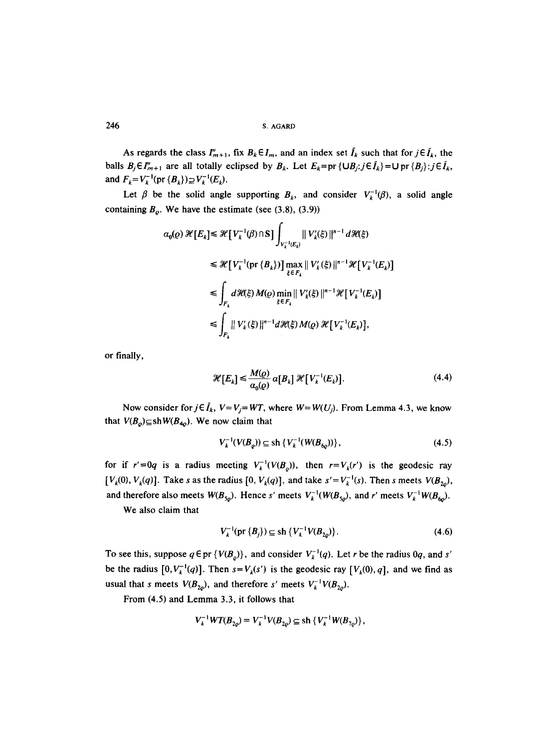As regards the class  $I''_{m+1}$ , fix  $B_k \in I_m$ , and an index set  $I_k$  such that for  $j \in I_k$ , the balls  $B_j \in I''_{m+1}$  are all totally eclipsed by  $B_k$ . Let  $E_k = \text{pr} \{ \cup B_j : j \in \tilde{I}_k \} = \cup \text{pr} \{ B_j \} : j \in \tilde{I}_k$ , and  $F_k = V_k^{-1} (pr \{B_k\}) \supseteq V_k^{-1}(E_k)$ .

Let  $\beta$  be the solid angle supporting  $B_k$ , and consider  $V_k^{-1}(\beta)$ , a solid angle containing  $B_{\rho}$ . We have the estimate (see (3.8), (3.9))

$$
\alpha_0(\varrho) \mathcal{H}[E_k] \leq \mathcal{H}[V_k^{-1}(\beta) \cap S] \int_{V_k^{-1}(E_k)} ||V_k(\xi)||^{n-1} d\mathcal{H}(\xi)
$$
  
\n
$$
\leq \mathcal{H}[V_k^{-1}(\text{pr } \{B_k\})] \max_{\xi \in F_k} ||V_k(\xi)||^{n-1} \mathcal{H}[V_k^{-1}(E_k)]
$$
  
\n
$$
\leq \int_{F_k} d\mathcal{H}(\xi) M(\varrho) \min_{\xi \in F_k} ||V_k(\xi)||^{n-1} \mathcal{H}[V_k^{-1}(E_k)]
$$
  
\n
$$
\leq \int_{F_k} ||V_k(\xi)||^{n-1} d\mathcal{H}(\xi) M(\varrho) \mathcal{H}[V_k^{-1}(E_k)],
$$

or finally,

$$
\mathcal{H}[E_k] \leq \frac{M(\varrho)}{\alpha_0(\varrho)} \alpha[B_k] \mathcal{H}[V_k^{-1}(E_k)]. \tag{4.4}
$$

Now consider for  $j \in I_k$ ,  $V = V_j = WT$ , where  $W = W(U_j)$ . From Lemma 4.3, we know that  $V(B_{\varrho}) \subseteq \text{sh}W(B_{4\varrho})$ . We now claim that

$$
V_k^{-1}(V(B_{\rho})) \subseteq \text{sh}\{V_k^{-1}(W(B_{6\rho}))\},\tag{4.5}
$$

for if  $r' = 0q$  is a radius meeting  $V_k^{-1}(V(B_0))$ , then  $r = V_k(r')$  is the geodesic ray  $[V_k(0), V_k(q)]$ . Take s as the radius  $[0, V_k(q)]$ , and take  $s' = V_k^{-1}(s)$ . Then s meets  $V(B_{20})$ , and therefore also meets  $W(B_{5\rho})$ . Hence s' meets  $V_k^{-1}(W(B_{5\rho})$ , and r' meets  $V_k^{-1}W(B_{6\rho})$ .

We also claim that

$$
V_k^{-1}(\text{pr }\{B_j\}) \subseteq \text{sh }\{V_k^{-1}V(B_{2\rho})\}.
$$
 (4.6)

To see this, suppose  $q \in pr \{V(B_0)\}\$ , and consider  $V_k^{-1}(q)$ . Let r be the radius 0q, and s' be the radius  $[0, V_k^{-1}(q)]$ . Then  $s=V_k(s')$  is the geodesic ray  $[V_k(0), q]$ , and we find as usual that s meets  $V(B_{2o})$ , and therefore s' meets  $V_k^{-1}V(B_{2o})$ .

From (4.5) and Lemma 3.3, it follows that

$$
V_k^{-1}WT(B_{2o}) = V_k^{-1}V(B_{2o}) \subseteq \text{sh}\{V_k^{-1}W(B_{7o})\},
$$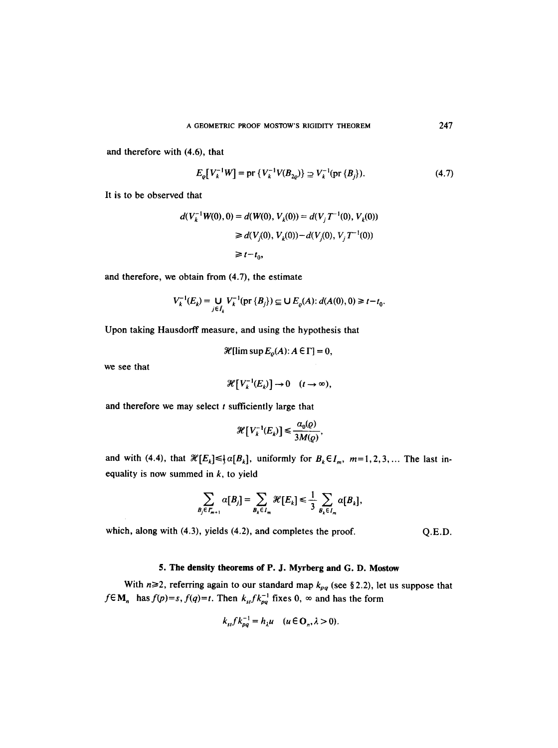and therefore with (4.6), that

$$
E_{\varrho}[V_k^{-1}W] = \text{pr}\{V_k^{-1}V(B_{2\varrho})\} \supseteq V_k^{-1}(\text{pr}\{B_j\}).\tag{4.7}
$$

It is to be observed that

$$
d(V_k^{-1}W(0), 0) = d(W(0), V_k(0)) = d(V_j T^{-1}(0), V_k(0))
$$
  
\n
$$
\geq d(V_j(0), V_k(0)) - d(V_j(0), V_j T^{-1}(0))
$$
  
\n
$$
\geq t - t_0,
$$

and therefore, we obtain from (4.7), the estimate

$$
V_k^{-1}(E_k) = \bigcup_{j \in I_k} V_k^{-1}(\text{pr } \{B_j\}) \subseteq \bigcup E_{\varrho}(A) : d(A(0), 0) \geq t - t_0.
$$

Upon taking Hausdorff measure, and using the hypothesis that

$$
\mathscr{H}[\limsup E_{\rho}(A): A \in \Gamma] = 0,
$$

we see that

$$
\mathcal{H}\big[V_k^{-1}(E_k)\big] \to 0 \quad (t \to \infty),
$$

and therefore we may select  $t$  sufficiently large that

$$
\mathcal{H}\big[V_k^{-1}(E_k)\big]\leq \frac{\alpha_0(Q)}{3M(Q)},
$$

and with (4.4), that  $\mathcal{H}[E_k] \leq \frac{1}{2} \alpha[B_k]$ , uniformly for  $B_k \in I_m$ ,  $m=1,2,3,...$  The last inequality is now summed in  $k$ , to yield

$$
\sum_{B_j \in I'_{m+1}} \alpha[B_j] = \sum_{B_k \in I_m} \mathcal{H}[E_k] \leq \frac{1}{3} \sum_{B_k \in I_m} \alpha[B_k],
$$

which, along with (4.3), yields (4.2), and completes the proof.  $Q.E.D.$ 

# **5. The density theorems of P. J. Myrberg and G. D. Mostow**

With  $n\geq 2$ , referring again to our standard map  $k_{pq}$  (see §2.2), let us suppose that  $f \in M_n$  has  $f(p)=s$ ,  $f(q)=t$ . Then  $k_{st}f k_{pq}^{-1}$  fixes 0,  $\infty$  and has the form

$$
k_{st} f k_{pq}^{-1} = h_{\lambda} u \quad (u \in \mathbf{O}_n, \lambda > 0).
$$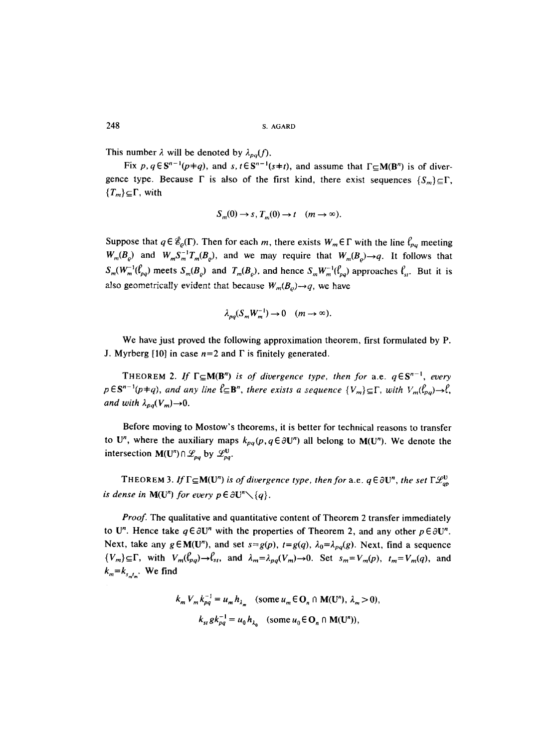This number  $\lambda$  will be denoted by  $\lambda_{pa}(f)$ .

Fix p,  $q \in S^{n-1}(p+q)$ , and  $s, t \in S^{n-1}(s+t)$ , and assume that  $\Gamma \subset M(B^n)$  is of divergence type. Because  $\Gamma$  is also of the first kind, there exist sequences  $\{S_m\}_{\subseteq}\Gamma$ ,  ${T_m}\subseteq\Gamma$ , with

$$
S_m(0) \to s, T_m(0) \to t \quad (m \to \infty).
$$

Suppose that  $q \in \tilde{\mathcal{E}}_{\varrho}(\Gamma)$ . Then for each m, there exists  $W_m \in \Gamma$  with the line  $\ell_{pq}$  meeting  $W_m(B_o)$  and  $W_mS_m^{-1}T_m(B_o)$ , and we may require that  $W_m(B_o) \rightarrow q$ . It follows that  $S_m(W_m^{-1}(\ell_{p,q})$  meets  $S_m(B_o)$  and  $T_m(B_o)$ , and hence  $S_mW_m^{-1}(\ell_{p,q})$  approaches  $\ell_{st}$ . But it is also geometrically evident that because  $W_m(B_o) \rightarrow q$ , we have

$$
\lambda_{pq}(S_m W_m^{-1}) \to 0 \quad (m \to \infty).
$$

We have just proved the following approximation theorem, first formulated by P. J. Myrberg [10] in case  $n=2$  and  $\Gamma$  is finitely generated.

THEOREM 2. If  $\Gamma \subseteq M(B^n)$  is of divergence type, then for a.e.  $q \in S^{n-1}$ , every  $p \in S^{n-1}(p+q)$ , and any line  $\ell \subseteq B^n$ , there exists a sequence  $\{V_m\} \subseteq \Gamma$ , with  $V_m(\ell_{p,q}) \to \ell$ , *and with*  $\lambda_{pq}(V_m) \rightarrow 0$ .

Before moving to Mostow's theorems, it is better for technical reasons to transfer to U<sup>n</sup>, where the auxiliary maps  $k_{pq}(p, q \in \partial U^n)$  all belong to M(U<sup>n</sup>). We denote the intersection  $M(U^n) \cap \mathcal{L}_{pq}$  by  $\mathcal{L}_{pq}^U$ .

THEOREM 3. If  $\Gamma \subseteq M(U^n)$  *is of divergence type, then for* a.e.  $q \in \partial U^n$ *, the set*  $\Gamma \mathcal{L}_{ap}^U$ *is dense in*  $M(U^n)$  *for every*  $p \in \partial U^n \setminus \{q\}.$ 

*Proof.* The qualitative and quantitative content of Theorem 2 transfer immediately to U<sup>n</sup>. Hence take  $q \in \partial U^n$  with the properties of Theorem 2, and any other  $p \in \partial U^n$ . Next, take any  $g \in M(U^n)$ , and set  $s = g(p)$ ,  $t = g(q)$ ,  $\lambda_0 = \lambda_{pq}(g)$ . Next, find a sequence  ${V_m}_{\equiv}\subseteq\Gamma$ , with  $V_m(\ell_{pq})\rightarrow\ell_{st}$ , and  $\lambda_m=\lambda_{pq}(V_m)\rightarrow 0$ . Set  $s_m=V_m(p)$ ,  $t_m=V_m(q)$ , and  $k_m = k_{s_m t_m}$ . We find

$$
k_m V_m k_{pq}^{-1} = u_m h_{\lambda_m} \quad \text{(some } u_m \in \mathbf{O}_n \cap \mathbf{M}(\mathbf{U}^n), \ \lambda_m > 0),
$$

$$
k_{st} g k_{pq}^{-1} = u_0 h_{\lambda_n} \quad \text{(some } u_0 \in \mathbf{O}_n \cap \mathbf{M}(\mathbf{U}^n)),
$$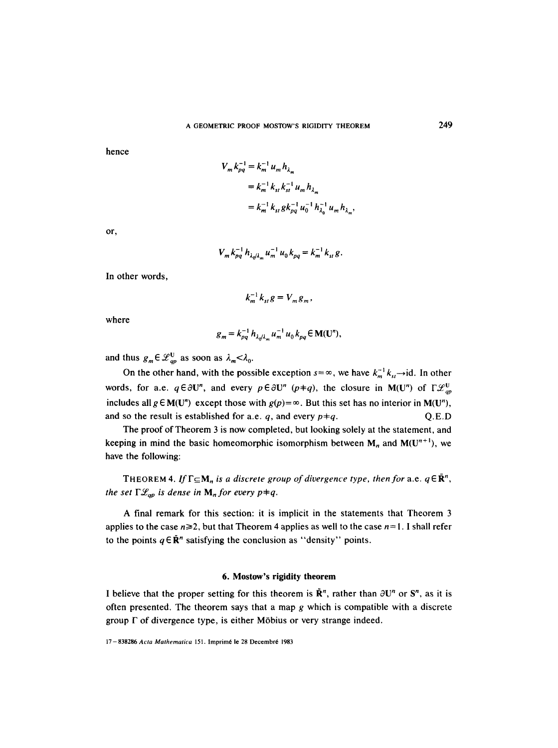hence

$$
V_m k_{pq}^{-1} = k_m^{-1} u_m h_{\lambda_m}
$$
  
=  $k_m^{-1} k_{st} k_{st}^{-1} u_m h_{\lambda_m}$   
=  $k_m^{-1} k_{st} g k_{pq}^{-1} u_0^{-1} h_{\lambda_0}^{-1} u_m h_{\lambda_m}$ ,

or,

$$
V_m k_{pq}^{-1} h_{\lambda_0/\lambda_m} u_m^{-1} u_0 k_{pq} = k_m^{-1} k_{st} g.
$$

In other words,

$$
k_m^{-1} k_{st} g = V_m g_m,
$$

where

$$
g_m = k_{pq}^{-1} h_{\lambda_q/\lambda_m} u_m^{-1} u_0 k_{pq} \in M(U^n),
$$

and thus  $g_m \in \mathcal{L}_{qp}^{\mathbf{U}}$  as soon as  $\lambda_m < \lambda_0$ .

On the other hand, with the possible exception  $s = \infty$ , we have  $k_m^{-1} k_{st} \rightarrow id$ . In other words, for a.e.  $q \in \partial U^n$ , and every  $p \in \partial U^n$  ( $p+q$ ), the closure in M(U") of  $\Gamma \mathcal{L}_{qp}^U$ includes all  $g \in M(U^n)$  except those with  $g(p) = \infty$ . But this set has no interior in  $M(U^n)$ , and so the result is established for a.e. q, and every  $p+q$ .  $Q.E.D$ 

The proof of Theorem 3 is now completed, but looking solely at the statement, and keeping in mind the basic homeomorphic isomorphism between  $M_n$  and  $M(U^{n+1})$ , we have the following:

THEOREM 4. If  $\Gamma \subseteq M_n$  is a discrete group of divergence type, then for a.e.  $q \in \mathbb{R}^n$ , *the set*  $\Gamma \mathcal{L}_{qp}$  *is dense in*  $M_n$  *for every p* $\neq$ *q.* 

A final remark for this section: it is implicit in the statements that Theorem 3 applies to the case  $n \ge 2$ , but that Theorem 4 applies as well to the case  $n=1$ . I shall refer to the points  $q \in \mathbb{R}^n$  satisfying the conclusion as "density" points.

# **6. Mostow's rigidity theorem**

I believe that the proper setting for this theorem is  $\tilde{R}^n$ , rather than  $\partial U^n$  or  $S^n$ , as it is often presented. The theorem says that a map  $g$  which is compatible with a discrete group  $\Gamma$  of divergence type, is either Möbius or very strange indeed.

<sup>17-838286</sup> Acta Mathematica 151. Imprimé le 28 Decembré 1983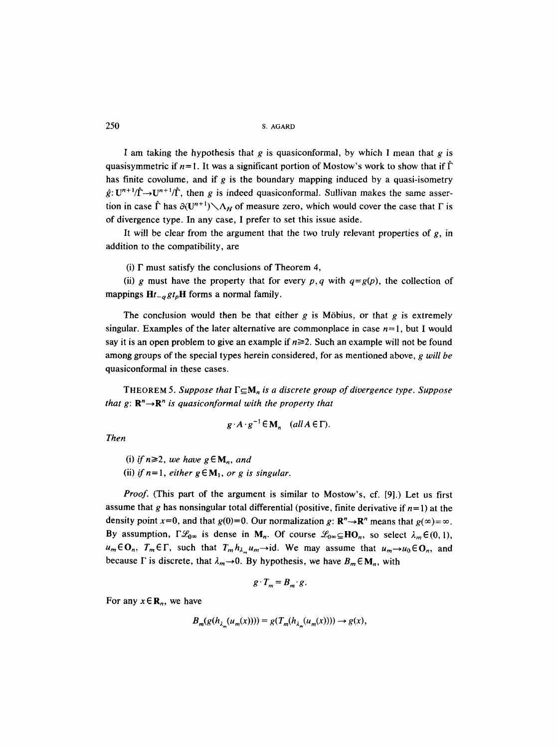I am taking the hypothesis that g is quasiconformal, by which I mean that g is quasisymmetric if  $n=1$ . It was a significant portion of Mostow's work to show that if  $\hat{\Gamma}$ has finite covolume, and if g is the boundary mapping induced by a quasi-isometry  $\hat{g}: U^{n+1}/\hat{\Gamma} \rightarrow U^{n+1}/\hat{\Gamma}$ , then g is indeed quasiconformal. Sullivan makes the same assertion in case  $\hat{\Gamma}$  has  $\partial(U^{n+1}) \setminus \Lambda_H$  of measure zero, which would cover the case that  $\Gamma$  is of divergence type. In any case, I prefer to set this issue aside.

It will be clear from the argument that the two truly relevant properties of  $g$ , in addition to the compatibility, are

(i)  $\Gamma$  must satisfy the conclusions of Theorem 4,

(ii) g must have the property that for every  $p, q$  with  $q = g(p)$ , the collection of mappings  $Ht_{-q}gt_pH$  forms a normal family.

The conclusion would then be that either g is Möbius, or that g is extremely singular. Examples of the later alternative are commonplace in case  $n=1$ , but I would say it is an open problem to give an example if  $n \ge 2$ . Such an example will not be found among groups of the special types herein considered, for as mentioned above, *g will be*  quasiconformal in these cases.

THEOREM 5. Suppose that  $\Gamma \subseteq M_n$  is a discrete group of divergence type. Suppose *that g:*  $\mathbb{R}^n \rightarrow \mathbb{R}^n$  *is quasiconformal with the property that* 

$$
g \cdot A \cdot g^{-1} \in M_n
$$
  $(all A \in \Gamma)$ .

*Then* 

(i) *if*  $n \ge 2$ , *we have*  $g \in M_n$ , *and* (ii) *if*  $n=1$ , *either*  $g \in M_1$ , *or g is singular.* 

*Proof.* (This part of the argument is similar to Mostow's, cf. [9].) Let us first assume that g has nonsingular total differential (positive, finite derivative if  $n=1$ ) at the density point x=0, and that  $g(0)=0$ . Our normalization g:  $\mathbb{R}^n \rightarrow \mathbb{R}^n$  means that  $g(\infty) = \infty$ . By assumption,  $\Gamma \mathcal{L}_{0\infty}$  is dense in M<sub>n</sub>. Of course  $\mathcal{L}_{0\infty} \subseteq HO_n$ , so select  $\lambda_m \in (0, 1)$ ,  $u_m \in \mathbf{O}_n$ ,  $T_m \in \Gamma$ , such that  $T_m h_{\lambda_m} u_m \rightarrow id$ . We may assume that  $u_m \rightarrow u_0 \in \mathbf{O}_n$ , and because  $\Gamma$  is discrete, that  $\lambda_m \rightarrow 0$ . By hypothesis, we have  $B_m \in M_n$ , with

$$
g \cdot T_m = B_m \cdot g.
$$

For any  $x \in \mathbb{R}_n$ , we have

$$
B_m(g(h_{\lambda_m}(u_m(x)))) = g(T_m(h_{\lambda_m}(u_m(x)))) \rightarrow g(x),
$$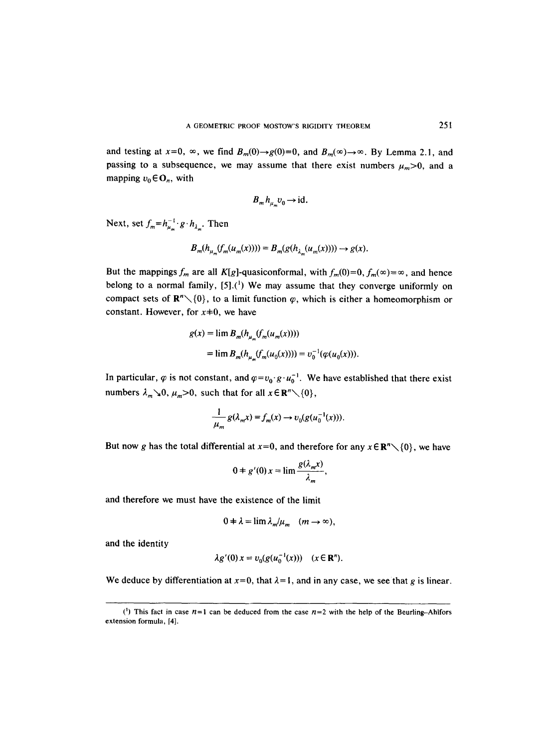and testing at  $x=0$ ,  $\infty$ , we find  $B_m(0) \rightarrow g(0)=0$ , and  $B_m(\infty) \rightarrow \infty$ . By Lemma 2.1, and passing to a subsequence, we may assume that there exist numbers  $\mu_m > 0$ , and a mapping  $v_0 \in \mathbf{O}_n$ , with

$$
B_m h_{\mu} v_0 \to id.
$$

Next, set  $f_m = h_{\mu_m}^{-1} \cdot g \cdot h_{\lambda_m}$ . Then

$$
B_m(h_{\mu_m}(f_m(u_m(x)))) = B_m(g(h_{\lambda_m}(u_m(x)))) \to g(x).
$$

But the mappings  $f_m$  are all K[g]-quasiconformal, with  $f_m(0)=0$ ,  $f_m(\infty)=\infty$ , and hence belong to a normal family,  $[5]$ .<sup>(1</sup>) We may assume that they converge uniformly on compact sets of  $\mathbb{R}^n \setminus \{0\}$ , to a limit function  $\varphi$ , which is either a homeomorphism or constant. However, for  $x\neq0$ , we have

$$
g(x) = \lim_{m} B_m(h_{\mu_m}(f_m(u_m(x))))
$$
  
= 
$$
\lim_{m} B_m(h_{\mu_m}(f_m(u_0(x)))) = v_0^{-1}(\varphi(u_0(x))).
$$

In particular,  $\varphi$  is not constant, and  $\varphi = v_0 \cdot g \cdot u_0^{-1}$ . We have established that there exist numbers  $\lambda_m \searrow 0$ ,  $\mu_m > 0$ , such that for all  $x \in \mathbb{R}^n \setminus \{0\}$ ,

$$
\frac{1}{\mu_m} g(\lambda_m x) = f_m(x) \rightarrow v_0(g(u_0^{-1}(x))).
$$

But now g has the total differential at  $x=0$ , and therefore for any  $x \in \mathbb{R}^n \setminus \{0\}$ , we have

$$
0 \neq g'(0) x = \lim \frac{g(\lambda_m x)}{\lambda_m},
$$

and therefore we must have the existence of the limit

$$
0 \neq \lambda = \lim_{m \to \infty} \lambda_m / \mu_m \quad (m \to \infty),
$$

and the identity

$$
\lambda g'(0) x = v_0(g(u_0^{-1}(x))) \quad (x \in \mathbb{R}^n).
$$

We deduce by differentiation at  $x=0$ , that  $\lambda=1$ , and in any case, we see that g is linear.

<sup>(1)</sup> This fact in case  $n=1$  can be deduced from the case  $n=2$  with the help of the Beurling-Ahlfors extension formula, [4].